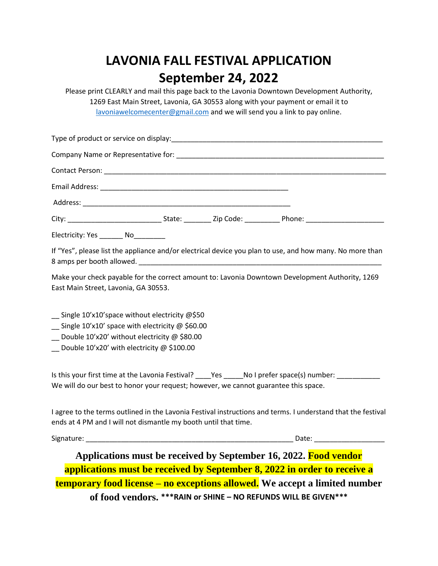# **LAVONIA FALL FESTIVAL APPLICATION September 24, 2022**

Please print CLEARLY and mail this page back to the Lavonia Downtown Development Authority, 1269 East Main Street, Lavonia, GA 30553 along with your payment or email it to [lavoniawelcomecenter@gmail.com](mailto:lavoniawelcomecenter@gmail.com) and we will send you a link to pay online.

| Electricity: Yes _______ No_________                                                                                                                                                                        |  |       |  |
|-------------------------------------------------------------------------------------------------------------------------------------------------------------------------------------------------------------|--|-------|--|
| If "Yes", please list the appliance and/or electrical device you plan to use, and how many. No more than                                                                                                    |  |       |  |
| Make your check payable for the correct amount to: Lavonia Downtown Development Authority, 1269<br>East Main Street, Lavonia, GA 30553.                                                                     |  |       |  |
| $\equiv$ Single 10'x10'space without electricity @\$50<br>_ Single 10'x10' space with electricity @ \$60.00<br>Double 10'x20' without electricity @ \$80.00<br>_ Double 10'x20' with electricity @ \$100.00 |  |       |  |
| Is this your first time at the Lavonia Festival? ____Yes _____No I prefer space(s) number: _________<br>We will do our best to honor your request; however, we cannot guarantee this space.                 |  |       |  |
| I agree to the terms outlined in the Lavonia Festival instructions and terms. I understand that the festival<br>ends at 4 PM and I will not dismantle my booth until that time.                             |  |       |  |
| Signature:                                                                                                                                                                                                  |  | Date: |  |

**Applications must be received by September 16, 2022. Food vendor applications must be received by September 8, 2022 in order to receive a temporary food license – no exceptions allowed. We accept a limited number of food vendors. \*\*\*RAIN or SHINE – NO REFUNDS WILL BE GIVEN\*\*\***